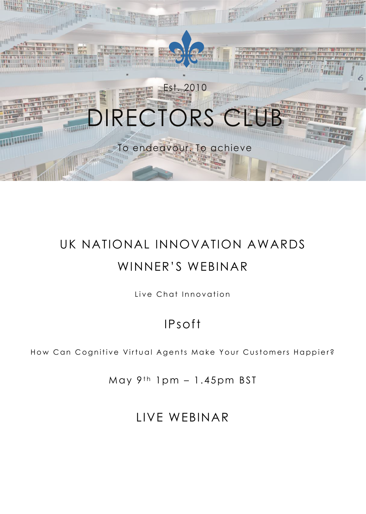

# UK NATIONAL INNOVATION AWARDS WINNER'S WEBINAR

Live Chat Innovation

## IPsoft

How Can Cognitive Virtual Agents Make Your Customers Happier?

May  $9<sup>th</sup> 1pm - 1.45pm BST$ 

### LIVE WEBINAR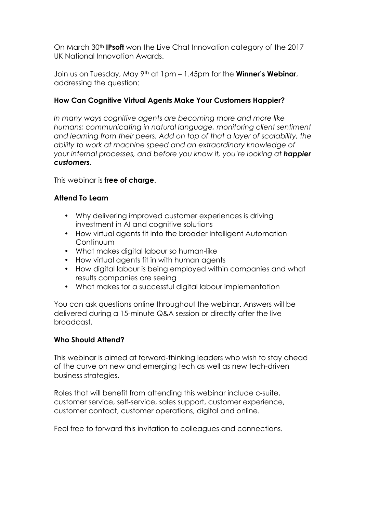On March 30<sup>th</sup> **IPsoft** won the Live Chat Innovation category of the 2017 UK National Innovation Awards.

Join us on Tuesday, May  $9<sup>th</sup>$  at 1pm – 1.45pm for the **Winner's Webinar**, addressing the question:

#### How Can Cognitive Virtual Agents Make Your Customers Happier?

*In many ways cognitive agents are becoming more and more like humans; communicating in natural language, monitoring client sentiment and learning from their peers. Add on top of that a layer of scalability, the ability to work at machine speed and an extraordinary knowledge of your internal processes, and before you know it, you're looking at happier customers.*

This webinar is free of charge.

#### Attend To Learn

- Why delivering improved customer experiences is driving investment in AI and cognitive solutions
- How virtual agents fit into the broader Intelligent Automation **Continuum**
- What makes digital labour so human-like
- How virtual agents fit in with human agents
- How digital labour is being employed within companies and what results companies are seeing
- What makes for a successful digital labour implementation

You can ask questions online throughout the webinar. Answers will be delivered during a 15-minute Q&A session or directly after the live broadcast.

#### Who Should Attend?

This webinar is aimed at forward-thinking leaders who wish to stay ahead of the curve on new and emerging tech as well as new tech-driven business strategies.

Roles that will benefit from attending this webinar include c-suite, customer service, self-service, sales support, customer experience, customer contact, customer operations, digital and online.

Feel free to forward this invitation to colleagues and connections.